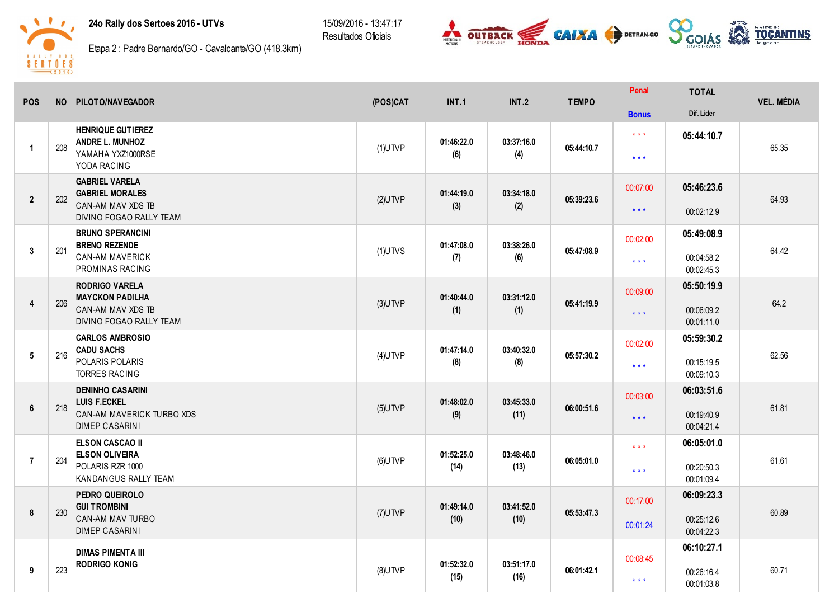24o Rally dos Sertoes 2016 - UTVs

15/09/2016 - 13:47:17 Resultados Oficiais





Etapa 2: Padre Bernardo/GO - Cavalcante/GO (418.3km)

| <b>POS</b>     |     | NO PILOTO/NAVEGADOR                                                                                    | (POS)CAT   | <b>INT.1</b>       | <b>INT.2</b>       | <b>TEMPO</b> | Penal                | <b>TOTAL</b>                           | <b>VEL. MÉDIA</b> |
|----------------|-----|--------------------------------------------------------------------------------------------------------|------------|--------------------|--------------------|--------------|----------------------|----------------------------------------|-------------------|
|                |     |                                                                                                        |            |                    |                    |              | <b>Bonus</b>         | Dif. Lider                             |                   |
| $\mathbf{1}$   | 208 | <b>HENRIQUE GUTIEREZ</b><br><b>ANDRE L. MUNHOZ</b><br>YAMAHA YXZ1000RSE<br>YODA RACING                 | $(1)$ UTVP | 01:46:22.0<br>(6)  | 03:37:16.0<br>(4)  | 05:44:10.7   | $***$<br>$* * *$     | 05:44:10.7                             | 65.35             |
| $\overline{2}$ | 202 | <b>GABRIEL VARELA</b><br><b>GABRIEL MORALES</b><br><b>CAN-AM MAV XDS TB</b><br>DIVINO FOGAO RALLY TEAM | $(2)$ UTVP | 01:44:19.0<br>(3)  | 03:34:18.0<br>(2)  | 05:39:23.6   | 00:07:00<br>$* * *$  | 05:46:23.6<br>00:02:12.9               | 64.93             |
| $\overline{3}$ | 201 | <b>BRUNO SPERANCINI</b><br><b>BRENO REZENDE</b><br><b>CAN-AM MAVERICK</b><br>PROMINAS RACING           | $(1)$ UTVS | 01:47:08.0<br>(7)  | 03:38:26.0<br>(6)  | 05:47:08.9   | 00:02:00<br>$***$    | 05:49:08.9<br>00:04:58.2<br>00:02:45.3 | 64.42             |
| $\overline{4}$ | 206 | <b>RODRIGO VARELA</b><br><b>MAYCKON PADILHA</b><br>CAN-AM MAV XDS TB<br>DIVINO FOGAO RALLY TEAM        | $(3)$ UTVP | 01:40:44.0<br>(1)  | 03:31:12.0<br>(1)  | 05:41:19.9   | 00:09:00<br>$***$    | 05:50:19.9<br>00:06:09.2<br>00:01:11.0 | 64.2              |
| 5              | 216 | <b>CARLOS AMBROSIO</b><br><b>CADU SACHS</b><br>POLARIS POLARIS<br><b>TORRES RACING</b>                 | $(4)$ UTVP | 01:47:14.0<br>(8)  | 03:40:32.0<br>(8)  | 05:57:30.2   | 00:02:00<br>$***$    | 05:59:30.2<br>00:15:19.5<br>00:09:10.3 | 62.56             |
| 6              | 218 | <b>DENINHO CASARINI</b><br><b>LUIS F.ECKEL</b><br>CAN-AM MAVERICK TURBO XDS<br><b>DIMEP CASARINI</b>   | $(5)$ UTVP | 01:48:02.0<br>(9)  | 03:45:33.0<br>(11) | 06:00:51.6   | 00:03:00<br>$***$    | 06:03:51.6<br>00:19:40.9<br>00:04:21.4 | 61.81             |
| $\overline{7}$ | 204 | <b>ELSON CASCAO II</b><br><b>ELSON OLIVEIRA</b><br>POLARIS RZR 1000<br>KANDANGUS RALLY TEAM            | $(6)$ UTVP | 01:52:25.0<br>(14) | 03:48:46.0<br>(13) | 06:05:01.0   | $***$<br>$* * *$     | 06:05:01.0<br>00:20:50.3<br>00:01:09.4 | 61.61             |
| 8              | 230 | PEDRO QUEIROLO<br><b>GUI TROMBINI</b><br>CAN-AM MAV TURBO<br><b>DIMEP CASARINI</b>                     | $(7)$ UTVP | 01:49:14.0<br>(10) | 03:41:52.0<br>(10) | 05:53:47.3   | 00:17:00<br>00:01:24 | 06:09:23.3<br>00:25:12.6<br>00:04:22.3 | 60.89             |
| 9              | 223 | <b>DIMAS PIMENTA III</b><br><b>RODRIGO KONIG</b>                                                       | $(8)$ UTVP | 01:52:32.0<br>(15) | 03:51:17.0<br>(16) | 06:01:42.1   | 00:08:45<br>$* * *$  | 06:10:27.1<br>00:26:16.4<br>00:01:03.8 | 60.71             |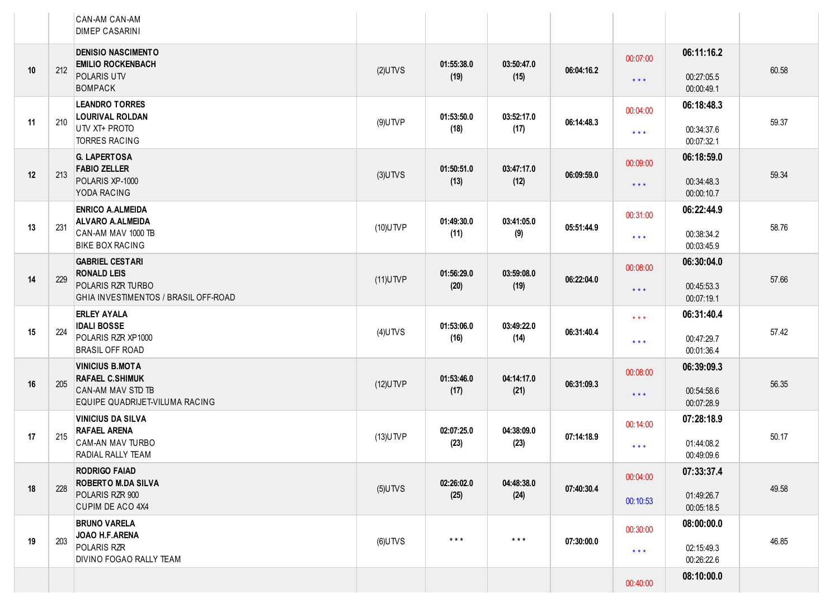|    |     | CAN-AM CAN-AM<br><b>DIMEP CASARINI</b>                                                                    |             |                    |                    |            |                                                    |                                        |       |
|----|-----|-----------------------------------------------------------------------------------------------------------|-------------|--------------------|--------------------|------------|----------------------------------------------------|----------------------------------------|-------|
| 10 | 212 | <b>DENISIO NASCIMENTO</b><br><b>EMILIO ROCKENBACH</b><br>POLARIS UTV<br>BOMPACK                           | $(2)$ UTVS  | 01:55:38.0<br>(19) | 03:50:47.0<br>(15) | 06:04:16.2 | 00:07:00<br>$\star$ $\star$ $\star$                | 06:11:16.2<br>00:27:05.5<br>00:00:49.1 | 60.58 |
| 11 | 210 | <b>LEANDRO TORRES</b><br><b>LOURIVAL ROLDAN</b><br>UTV XT+ PROTO<br><b>TORRES RACING</b>                  | $(9)$ UTVP  | 01:53:50.0<br>(18) | 03:52:17.0<br>(17) | 06:14:48.3 | 00:04:00<br>$\star$ $\star$ $\star$                | 06:18:48.3<br>00:34:37.6<br>00:07:32.1 | 59.37 |
| 12 | 213 | <b>G. LAPERTOSA</b><br><b>FABIO ZELLER</b><br>POLARIS XP-1000<br>YODA RACING                              | $(3)$ UTVS  | 01:50:51.0<br>(13) | 03:47:17.0<br>(12) | 06:09:59.0 | 00:09:00<br>$***$                                  | 06:18:59.0<br>00:34:48.3<br>00:00:10.7 | 59.34 |
| 13 | 231 | <b>ENRICO A.ALMEIDA</b><br><b>ALVARO A.ALMEIDA</b><br>CAN-AM MAV 1000 TB<br><b>BIKE BOX RACING</b>        | $(10)$ UTVP | 01:49:30.0<br>(11) | 03:41:05.0<br>(9)  | 05:51:44.9 | 00:31:00<br>$* * *$                                | 06:22:44.9<br>00:38:34.2<br>00:03:45.9 | 58.76 |
| 14 | 229 | <b>GABRIEL CESTARI</b><br><b>RONALD LEIS</b><br>POLARIS RZR TURBO<br>GHIA INVESTIMENTOS / BRASIL OFF-ROAD | $(11)$ UTVP | 01:56:29.0<br>(20) | 03:59:08.0<br>(19) | 06:22:04.0 | 00:08:00<br>$***$                                  | 06:30:04.0<br>00:45:53.3<br>00:07:19.1 | 57.66 |
| 15 | 224 | <b>ERLEY AYALA</b><br><b>IDALI BOSSE</b><br>POLARIS RZR XP1000<br><b>BRASIL OFF ROAD</b>                  | $(4)$ UTVS  | 01:53:06.0<br>(16) | 03:49:22.0<br>(14) | 06:31:40.4 | $\star$ $\star$ $\star$<br>$\star$ $\star$ $\star$ | 06:31:40.4<br>00:47:29.7<br>00:01:36.4 | 57.42 |
| 16 | 205 | <b>VINICIUS B.MOTA</b><br><b>RAFAEL C.SHIMUK</b><br>CAN-AM MAV STD TB<br>EQUIPE QUADRIJET-VILUMA RACING   | $(12)$ UTVP | 01:53:46.0<br>(17) | 04:14:17.0<br>(21) | 06:31:09.3 | 00:08:00<br>$* * *$                                | 06:39:09.3<br>00:54:58.6<br>00:07:28.9 | 56.35 |
| 17 | 215 | <b>VINICIUS DA SILVA</b><br><b>RAFAEL ARENA</b><br>CAM-AN MAV TURBO<br>RADIAL RALLY TEAM                  | $(13)$ UTVP | 02:07:25.0<br>(23) | 04:38:09.0<br>(23) | 07:14:18.9 | 00:14:00<br>$* * *$                                | 07:28:18.9<br>01:44:08.2<br>00:49:09.6 | 50.17 |
| 18 | 228 | <b>RODRIGO FAIAD</b><br><b>ROBERTO M.DA SILVA</b><br>POLARIS RZR 900<br><b>CUPIM DE ACO 4X4</b>           | $(5)$ UTVS  | 02:26:02.0<br>(25) | 04:48:38.0<br>(24) | 07:40:30.4 | 00:04:00<br>00:10:53                               | 07:33:37.4<br>01:49:26.7<br>00:05:18.5 | 49.58 |
| 19 | 203 | <b>BRUNO VARELA</b><br>JOAO H.F.ARENA<br>POLARIS RZR<br>DIVINO FOGAO RALLY TEAM                           | $(6)$ UTVS  | $***$              | $***$              | 07:30:00.0 | 00:30:00<br>$\star$ $\star$ $\star$                | 08:00:00.0<br>02:15:49.3<br>00:26:22.6 | 46.85 |
|    |     |                                                                                                           |             |                    |                    |            | 00:40:00                                           | 08:10:00.0                             |       |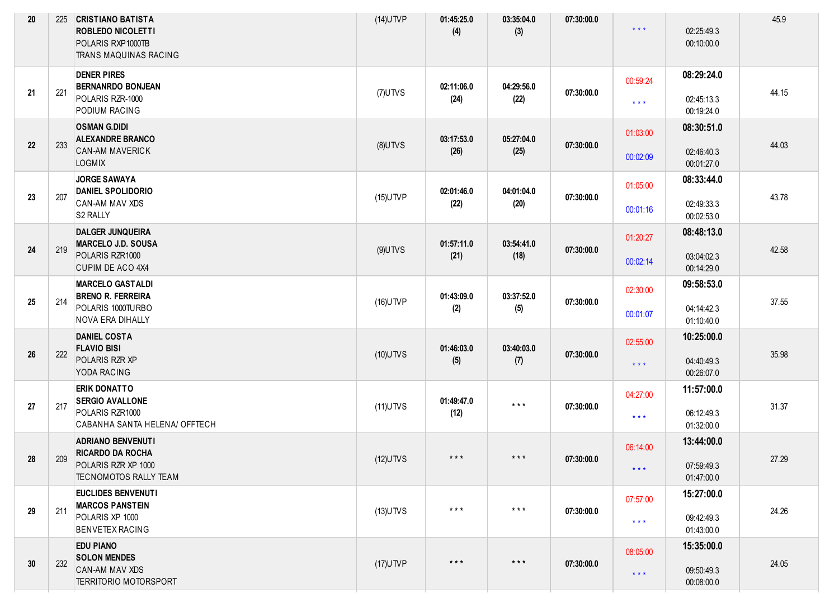| 20 | 225 | <b>CRISTIANO BATISTA</b><br><b>ROBLEDO NICOLETTI</b><br>POLARIS RXP1000TB<br>TRANS MAQUINAS RACING  | $(14)$ UTVP | 01:45:25.0<br>(4)  | 03:35:04.0<br>(3)       | 07:30:00.0 | $***$                               | 02:25:49.3<br>00:10:00.0               | 45.9  |
|----|-----|-----------------------------------------------------------------------------------------------------|-------------|--------------------|-------------------------|------------|-------------------------------------|----------------------------------------|-------|
| 21 | 221 | <b>DENER PIRES</b><br><b>BERNANRDO BONJEAN</b><br>POLARIS RZR-1000<br>PODIUM RACING                 | $(7)$ UTVS  | 02:11:06.0<br>(24) | 04:29:56.0<br>(22)      | 07:30:00.0 | 00:59:24<br>$\star$ $\star$ $\star$ | 08:29:24.0<br>02:45:13.3<br>00:19:24.0 | 44.15 |
| 22 | 233 | <b>OSMAN G.DIDI</b><br><b>ALEXANDRE BRANCO</b><br><b>CAN-AM MAVERICK</b><br><b>LOGMIX</b>           | $(8)$ UTVS  | 03:17:53.0<br>(26) | 05:27:04.0<br>(25)      | 07:30:00.0 | 01:03:00<br>00:02:09                | 08:30:51.0<br>02:46:40.3<br>00:01:27.0 | 44.03 |
| 23 | 207 | <b>JORGE SAWAYA</b><br><b>DANIEL SPOLIDORIO</b><br>CAN-AM MAV XDS<br>S2 RALLY                       | $(15)$ UTVP | 02:01:46.0<br>(22) | 04:01:04.0<br>(20)      | 07:30:00.0 | 01:05:00<br>00:01:16                | 08:33:44.0<br>02:49:33.3<br>00:02:53.0 | 43.78 |
| 24 | 219 | <b>DALGER JUNQUEIRA</b><br><b>MARCELO J.D. SOUSA</b><br>POLARIS RZR1000<br><b>CUPIM DE ACO 4X4</b>  | $(9)$ UTVS  | 01:57:11.0<br>(21) | 03:54:41.0<br>(18)      | 07:30:00.0 | 01:20:27<br>00:02:14                | 08:48:13.0<br>03:04:02.3<br>00:14:29.0 | 42.58 |
| 25 | 214 | <b>MARCELO GASTALDI</b><br><b>BRENO R. FERREIRA</b><br>POLARIS 1000TURBO<br><b>NOVA ERA DIHALLY</b> | $(16)$ UTVP | 01:43:09.0<br>(2)  | 03:37:52.0<br>(5)       | 07:30:00.0 | 02:30:00<br>00:01:07                | 09:58:53.0<br>04:14:42.3<br>01:10:40.0 | 37.55 |
| 26 | 222 | <b>DANIEL COSTA</b><br><b>FLAVIO BISI</b><br>POLARIS RZR XP<br>YODA RACING                          | $(10)$ UTVS | 01:46:03.0<br>(5)  | 03:40:03.0<br>(7)       | 07:30:00.0 | 02:55:00<br>$\star$ $\star$ $\star$ | 10:25:00.0<br>04:40:49.3<br>00:26:07.0 | 35.98 |
| 27 | 217 | <b>ERIK DONATTO</b><br><b>SERGIO AVALLONE</b><br>POLARIS RZR1000<br>CABANHA SANTA HELENA/ OFFTECH   | $(11)$ UTVS | 01:49:47.0<br>(12) | $***$                   | 07:30:00.0 | 04:27:00<br>$\star$ $\star$ $\star$ | 11:57:00.0<br>06:12:49.3<br>01:32:00.0 | 31.37 |
| 28 | 209 | <b>ADRIANO BENVENUTI</b><br><b>RICARDO DA ROCHA</b><br>POLARIS RZR XP 1000<br>TECNOMOTOS RALLY TEAM | $(12)$ UTVS | $***$              | $***$                   | 07:30:00.0 | 06:14:00<br>$\star$ $\star$ $\star$ | 13:44:00.0<br>07:59:49.3<br>01:47:00.0 | 27.29 |
| 29 | 211 | EUCLIDES BENVENUTI<br><b>MARCOS PANSTEIN</b><br>POLARIS XP 1000<br><b>BENVETEX RACING</b>           | $(13)$ UTVS | $***$              | $\star$ $\star$ $\star$ | 07:30:00.0 | 07:57:00<br>$\star$ $\star$ $\star$ | 15:27:00.0<br>09:42:49.3<br>01:43:00.0 | 24.26 |
| 30 | 232 | <b>EDU PIANO</b><br><b>SOLON MENDES</b><br>CAN-AM MAV XDS<br><b>TERRITORIO MOTORSPORT</b>           | $(17)$ UTVP | $***$              | $\star$ $\star$ $\star$ | 07:30:00.0 | 08:05:00<br>$\star$ $\star$ $\star$ | 15:35:00.0<br>09:50:49.3<br>00:08:00.0 | 24.05 |